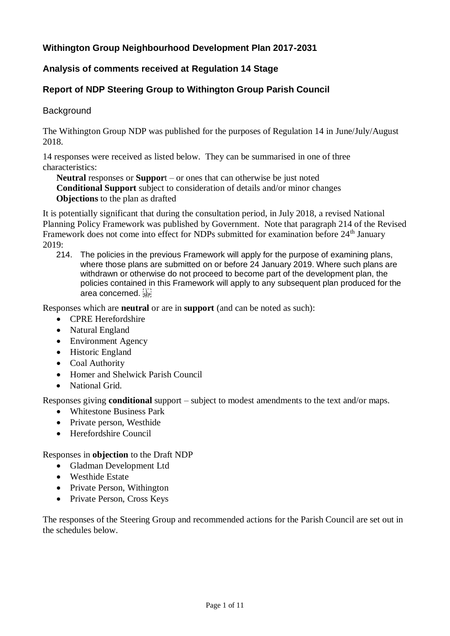# **Withington Group Neighbourhood Development Plan 2017-2031**

### **Analysis of comments received at Regulation 14 Stage**

# **Report of NDP Steering Group to Withington Group Parish Council**

### **Background**

The Withington Group NDP was published for the purposes of Regulation 14 in June/July/August 2018.

14 responses were received as listed below. They can be summarised in one of three characteristics:

**Neutral** responses or **Suppor**t – or ones that can otherwise be just noted **Conditional Support** subject to consideration of details and/or minor changes **Objections** to the plan as drafted

It is potentially significant that during the consultation period, in July 2018, a revised National Planning Policy Framework was published by Government. Note that paragraph 214 of the Revised Framework does not come into effect for NDPs submitted for examination before 24<sup>th</sup> January 2019:

214. The policies in the previous Framework will apply for the purpose of examining plans, where those plans are submitted on or before 24 January 2019. Where such plans are withdrawn or otherwise do not proceed to become part of the development plan, the policies contained in this Framework will apply to any subsequent plan produced for the area concerned.

Responses which are **neutral** or are in **support** (and can be noted as such):

- CPRE Herefordshire
- Natural England
- Environment Agency
- Historic England
- Coal Authority
- Homer and Shelwick Parish Council
- National Grid.

Responses giving **conditional** support – subject to modest amendments to the text and/or maps.

- Whitestone Business Park
- Private person, Westhide
- Herefordshire Council

#### Responses in **objection** to the Draft NDP

- Gladman Development Ltd
- Westhide Estate
- Private Person, Withington
- Private Person, Cross Keys

The responses of the Steering Group and recommended actions for the Parish Council are set out in the schedules below.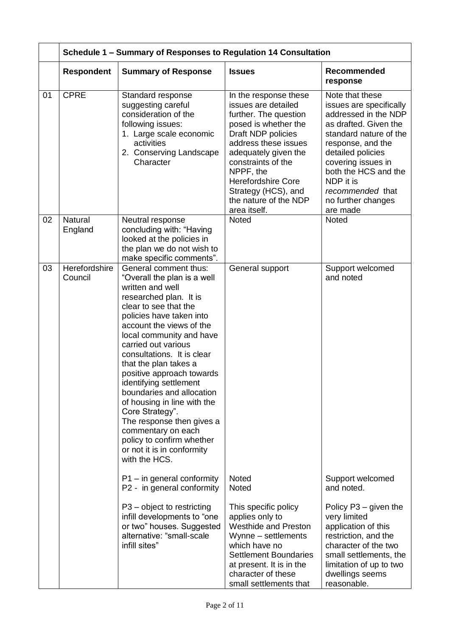|    |                          | Schedule 1 - Summary of Responses to Regulation 14 Consultation                                                                                                                                                                                                                                                                                                                                                                                                                                                                                                    |                                                                                                                                                                                                                                                                                                     |                                                                                                                                                                                                                                                                                  |  |  |
|----|--------------------------|--------------------------------------------------------------------------------------------------------------------------------------------------------------------------------------------------------------------------------------------------------------------------------------------------------------------------------------------------------------------------------------------------------------------------------------------------------------------------------------------------------------------------------------------------------------------|-----------------------------------------------------------------------------------------------------------------------------------------------------------------------------------------------------------------------------------------------------------------------------------------------------|----------------------------------------------------------------------------------------------------------------------------------------------------------------------------------------------------------------------------------------------------------------------------------|--|--|
|    | <b>Respondent</b>        | <b>Summary of Response</b>                                                                                                                                                                                                                                                                                                                                                                                                                                                                                                                                         | <b>Issues</b>                                                                                                                                                                                                                                                                                       | Recommended<br>response                                                                                                                                                                                                                                                          |  |  |
| 01 | <b>CPRE</b>              | Standard response<br>suggesting careful<br>consideration of the<br>following issues:<br>1. Large scale economic<br>activities<br>2. Conserving Landscape<br>Character                                                                                                                                                                                                                                                                                                                                                                                              | In the response these<br>issues are detailed<br>further. The question<br>posed is whether the<br>Draft NDP policies<br>address these issues<br>adequately given the<br>constraints of the<br>NPPF, the<br><b>Herefordshire Core</b><br>Strategy (HCS), and<br>the nature of the NDP<br>area itself. | Note that these<br>issues are specifically<br>addressed in the NDP<br>as drafted. Given the<br>standard nature of the<br>response, and the<br>detailed policies<br>covering issues in<br>both the HCS and the<br>NDP it is<br>recommended that<br>no further changes<br>are made |  |  |
| 02 | Natural<br>England       | Neutral response<br>concluding with: "Having<br>looked at the policies in<br>the plan we do not wish to<br>make specific comments".                                                                                                                                                                                                                                                                                                                                                                                                                                | Noted                                                                                                                                                                                                                                                                                               | <b>Noted</b>                                                                                                                                                                                                                                                                     |  |  |
| 03 | Herefordshire<br>Council | General comment thus:<br>"Overall the plan is a well<br>written and well<br>researched plan. It is<br>clear to see that the<br>policies have taken into<br>account the views of the<br>local community and have<br>carried out various<br>consultations. It is clear<br>that the plan takes a<br>positive approach towards<br>identifying settlement<br>boundaries and allocation<br>of housing in line with the<br>Core Strategy".<br>The response then gives a<br>commentary on each<br>policy to confirm whether<br>or not it is in conformity<br>with the HCS. | General support                                                                                                                                                                                                                                                                                     | Support welcomed<br>and noted                                                                                                                                                                                                                                                    |  |  |
|    |                          | $P1$ – in general conformity<br>P2 - in general conformity                                                                                                                                                                                                                                                                                                                                                                                                                                                                                                         | <b>Noted</b><br>Noted                                                                                                                                                                                                                                                                               | Support welcomed<br>and noted.                                                                                                                                                                                                                                                   |  |  |
|    |                          | P3 – object to restricting<br>infill developments to "one<br>or two" houses. Suggested<br>alternative: "small-scale<br>infill sites"                                                                                                                                                                                                                                                                                                                                                                                                                               | This specific policy<br>applies only to<br><b>Westhide and Preston</b><br>Wynne - settlements<br>which have no<br><b>Settlement Boundaries</b><br>at present. It is in the<br>character of these<br>small settlements that                                                                          | Policy $P3 -$ given the<br>very limited<br>application of this<br>restriction, and the<br>character of the two<br>small settlements, the<br>limitation of up to two<br>dwellings seems<br>reasonable.                                                                            |  |  |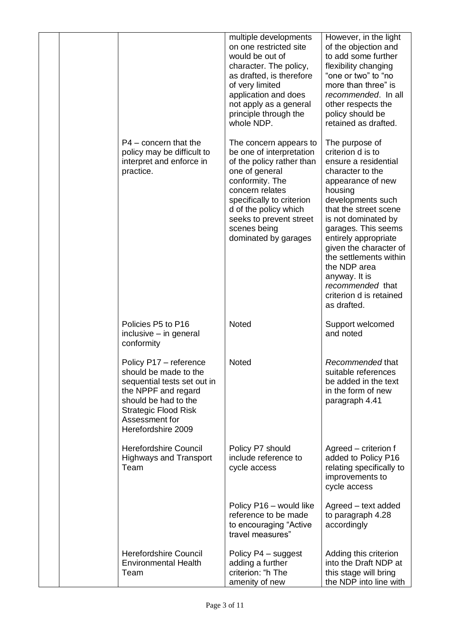|  |                                                                                                                                                                                                      | multiple developments<br>on one restricted site<br>would be out of<br>character. The policy,<br>as drafted, is therefore<br>of very limited<br>application and does<br>not apply as a general<br>principle through the<br>whole NDP.                             | However, in the light<br>of the objection and<br>to add some further<br>flexibility changing<br>"one or two" to "no<br>more than three" is<br>recommended. In all<br>other respects the<br>policy should be<br>retained as drafted.                                                                                                                                                    |
|--|------------------------------------------------------------------------------------------------------------------------------------------------------------------------------------------------------|------------------------------------------------------------------------------------------------------------------------------------------------------------------------------------------------------------------------------------------------------------------|----------------------------------------------------------------------------------------------------------------------------------------------------------------------------------------------------------------------------------------------------------------------------------------------------------------------------------------------------------------------------------------|
|  | $P4$ – concern that the<br>policy may be difficult to<br>interpret and enforce in<br>practice.                                                                                                       | The concern appears to<br>be one of interpretation<br>of the policy rather than<br>one of general<br>conformity. The<br>concern relates<br>specifically to criterion<br>d of the policy which<br>seeks to prevent street<br>scenes being<br>dominated by garages | The purpose of<br>criterion d is to<br>ensure a residential<br>character to the<br>appearance of new<br>housing<br>developments such<br>that the street scene<br>is not dominated by<br>garages. This seems<br>entirely appropriate<br>given the character of<br>the settlements within<br>the NDP area<br>anyway. It is<br>recommended that<br>criterion d is retained<br>as drafted. |
|  | Policies P5 to P16<br>inclusive - in general<br>conformity                                                                                                                                           | <b>Noted</b>                                                                                                                                                                                                                                                     | Support welcomed<br>and noted                                                                                                                                                                                                                                                                                                                                                          |
|  | Policy P17 - reference<br>should be made to the<br>sequential tests set out in<br>the NPPF and regard<br>should be had to the<br><b>Strategic Flood Risk</b><br>Assessment for<br>Herefordshire 2009 | Noted                                                                                                                                                                                                                                                            | Recommended that<br>suitable references<br>be added in the text<br>in the form of new<br>paragraph 4.41                                                                                                                                                                                                                                                                                |
|  | <b>Herefordshire Council</b><br><b>Highways and Transport</b><br>Team                                                                                                                                | Policy P7 should<br>include reference to<br>cycle access                                                                                                                                                                                                         | Agreed - criterion f<br>added to Policy P16<br>relating specifically to<br>improvements to<br>cycle access                                                                                                                                                                                                                                                                             |
|  |                                                                                                                                                                                                      | Policy P16 - would like<br>reference to be made<br>to encouraging "Active<br>travel measures"                                                                                                                                                                    | Agreed - text added<br>to paragraph 4.28<br>accordingly                                                                                                                                                                                                                                                                                                                                |
|  | <b>Herefordshire Council</b><br><b>Environmental Health</b><br>Team                                                                                                                                  | Policy P4 - suggest<br>adding a further<br>criterion: "h The<br>amenity of new                                                                                                                                                                                   | Adding this criterion<br>into the Draft NDP at<br>this stage will bring<br>the NDP into line with                                                                                                                                                                                                                                                                                      |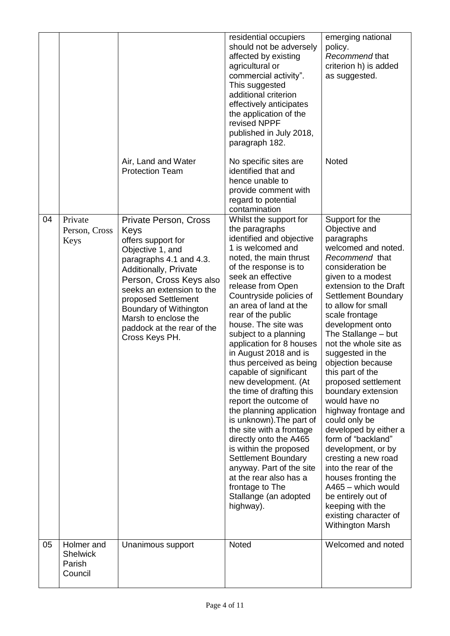|    |                                                    | Air, Land and Water                                                                                                                                                                                                                                                                                                 | residential occupiers<br>should not be adversely<br>affected by existing<br>agricultural or<br>commercial activity".<br>This suggested<br>additional criterion<br>effectively anticipates<br>the application of the<br>revised NPPF<br>published in July 2018,<br>paragraph 182.<br>No specific sites are                                                                                                                                                                                                                                                                                                                                                                                                                                                                                      | emerging national<br>policy.<br>Recommend that<br>criterion h) is added<br>as suggested.<br>Noted                                                                                                                                                                                                                                                                                                                                                                                                                                                                                                                                                                                                                                |
|----|----------------------------------------------------|---------------------------------------------------------------------------------------------------------------------------------------------------------------------------------------------------------------------------------------------------------------------------------------------------------------------|------------------------------------------------------------------------------------------------------------------------------------------------------------------------------------------------------------------------------------------------------------------------------------------------------------------------------------------------------------------------------------------------------------------------------------------------------------------------------------------------------------------------------------------------------------------------------------------------------------------------------------------------------------------------------------------------------------------------------------------------------------------------------------------------|----------------------------------------------------------------------------------------------------------------------------------------------------------------------------------------------------------------------------------------------------------------------------------------------------------------------------------------------------------------------------------------------------------------------------------------------------------------------------------------------------------------------------------------------------------------------------------------------------------------------------------------------------------------------------------------------------------------------------------|
|    |                                                    | <b>Protection Team</b>                                                                                                                                                                                                                                                                                              | identified that and<br>hence unable to<br>provide comment with<br>regard to potential<br>contamination                                                                                                                                                                                                                                                                                                                                                                                                                                                                                                                                                                                                                                                                                         |                                                                                                                                                                                                                                                                                                                                                                                                                                                                                                                                                                                                                                                                                                                                  |
| 04 | Private<br>Person, Cross<br>Keys                   | <b>Private Person, Cross</b><br>Keys<br>offers support for<br>Objective 1, and<br>paragraphs 4.1 and 4.3.<br>Additionally, Private<br>Person, Cross Keys also<br>seeks an extension to the<br>proposed Settlement<br>Boundary of Withington<br>Marsh to enclose the<br>paddock at the rear of the<br>Cross Keys PH. | Whilst the support for<br>the paragraphs<br>identified and objective<br>1 is welcomed and<br>noted, the main thrust<br>of the response is to<br>seek an effective<br>release from Open<br>Countryside policies of<br>an area of land at the<br>rear of the public<br>house. The site was<br>subject to a planning<br>application for 8 houses<br>in August 2018 and is<br>thus perceived as being<br>capable of significant<br>new development. (At<br>the time of drafting this<br>report the outcome of<br>the planning application<br>is unknown). The part of<br>the site with a frontage<br>directly onto the A465<br>is within the proposed<br><b>Settlement Boundary</b><br>anyway. Part of the site<br>at the rear also has a<br>frontage to The<br>Stallange (an adopted<br>highway). | Support for the<br>Objective and<br>paragraphs<br>welcomed and noted.<br>Recommend that<br>consideration be<br>given to a modest<br>extension to the Draft<br>Settlement Boundary<br>to allow for small<br>scale frontage<br>development onto<br>The Stallange – but<br>not the whole site as<br>suggested in the<br>objection because<br>this part of the<br>proposed settlement<br>boundary extension<br>would have no<br>highway frontage and<br>could only be<br>developed by either a<br>form of "backland"<br>development, or by<br>cresting a new road<br>into the rear of the<br>houses fronting the<br>A465 - which would<br>be entirely out of<br>keeping with the<br>existing character of<br><b>Withington Marsh</b> |
| 05 | Holmer and<br><b>Shelwick</b><br>Parish<br>Council | Unanimous support                                                                                                                                                                                                                                                                                                   | Noted                                                                                                                                                                                                                                                                                                                                                                                                                                                                                                                                                                                                                                                                                                                                                                                          | Welcomed and noted                                                                                                                                                                                                                                                                                                                                                                                                                                                                                                                                                                                                                                                                                                               |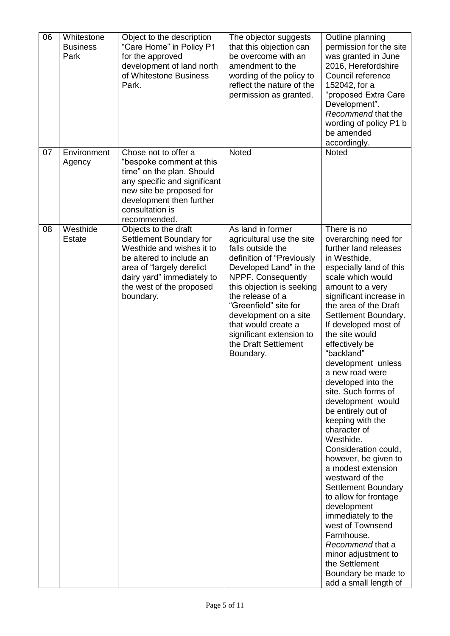| 06 | Whitestone<br><b>Business</b><br>Park | Object to the description<br>"Care Home" in Policy P1<br>for the approved<br>development of land north<br>of Whitestone Business<br>Park.                                                                    | The objector suggests<br>that this objection can<br>be overcome with an<br>amendment to the<br>wording of the policy to<br>reflect the nature of the<br>permission as granted.                                                                                                                                                              | Outline planning<br>permission for the site<br>was granted in June<br>2016, Herefordshire<br>Council reference<br>152042, for a<br>"proposed Extra Care<br>Development".<br>Recommend that the<br>wording of policy P1 b<br>be amended<br>accordingly.                                                                                                                                                                                                                                                                                                                                                                                                                                                                                                                                                                |
|----|---------------------------------------|--------------------------------------------------------------------------------------------------------------------------------------------------------------------------------------------------------------|---------------------------------------------------------------------------------------------------------------------------------------------------------------------------------------------------------------------------------------------------------------------------------------------------------------------------------------------|-----------------------------------------------------------------------------------------------------------------------------------------------------------------------------------------------------------------------------------------------------------------------------------------------------------------------------------------------------------------------------------------------------------------------------------------------------------------------------------------------------------------------------------------------------------------------------------------------------------------------------------------------------------------------------------------------------------------------------------------------------------------------------------------------------------------------|
| 07 | Environment<br>Agency                 | Chose not to offer a<br>"bespoke comment at this<br>time" on the plan. Should<br>any specific and significant<br>new site be proposed for<br>development then further<br>consultation is<br>recommended.     | <b>Noted</b>                                                                                                                                                                                                                                                                                                                                | Noted                                                                                                                                                                                                                                                                                                                                                                                                                                                                                                                                                                                                                                                                                                                                                                                                                 |
| 08 | Westhide<br><b>Estate</b>             | Objects to the draft<br>Settlement Boundary for<br>Westhide and wishes it to<br>be altered to include an<br>area of "largely derelict<br>dairy yard" immediately to<br>the west of the proposed<br>boundary. | As land in former<br>agricultural use the site<br>falls outside the<br>definition of "Previously<br>Developed Land" in the<br>NPPF. Consequently<br>this objection is seeking<br>the release of a<br>"Greenfield" site for<br>development on a site<br>that would create a<br>significant extension to<br>the Draft Settlement<br>Boundary. | There is no<br>overarching need for<br>further land releases<br>in Westhide,<br>especially land of this<br>scale which would<br>amount to a very<br>significant increase in<br>the area of the Draft<br>Settlement Boundary.<br>If developed most of<br>the site would<br>effectively be<br>"backland"<br>development unless<br>a new road were<br>developed into the<br>site. Such forms of<br>development would<br>be entirely out of<br>keeping with the<br>character of<br>Westhide.<br>Consideration could,<br>however, be given to<br>a modest extension<br>westward of the<br>Settlement Boundary<br>to allow for frontage<br>development<br>immediately to the<br>west of Townsend<br>Farmhouse.<br>Recommend that a<br>minor adjustment to<br>the Settlement<br>Boundary be made to<br>add a small length of |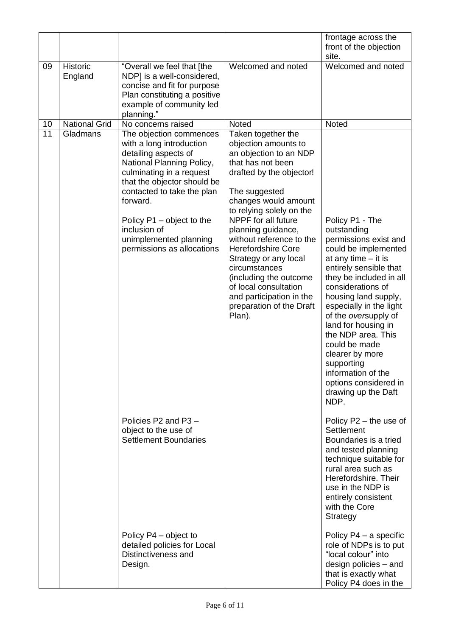|    |                            |                                                                                                                                                                                                                                                                                                                    |                                                                                                                                                                                                                                                                                                                                                                                                                                                                 | frontage across the<br>front of the objection<br>site.                                                                                                                                                                                                                                                                                                                                                                                     |
|----|----------------------------|--------------------------------------------------------------------------------------------------------------------------------------------------------------------------------------------------------------------------------------------------------------------------------------------------------------------|-----------------------------------------------------------------------------------------------------------------------------------------------------------------------------------------------------------------------------------------------------------------------------------------------------------------------------------------------------------------------------------------------------------------------------------------------------------------|--------------------------------------------------------------------------------------------------------------------------------------------------------------------------------------------------------------------------------------------------------------------------------------------------------------------------------------------------------------------------------------------------------------------------------------------|
| 09 | <b>Historic</b><br>England | "Overall we feel that [the<br>NDP] is a well-considered,<br>concise and fit for purpose<br>Plan constituting a positive<br>example of community led<br>planning."                                                                                                                                                  | Welcomed and noted                                                                                                                                                                                                                                                                                                                                                                                                                                              | Welcomed and noted                                                                                                                                                                                                                                                                                                                                                                                                                         |
| 10 | National Grid              | No concerns raised                                                                                                                                                                                                                                                                                                 | Noted                                                                                                                                                                                                                                                                                                                                                                                                                                                           | Noted                                                                                                                                                                                                                                                                                                                                                                                                                                      |
| 11 | Gladmans                   | The objection commences<br>with a long introduction<br>detailing aspects of<br>National Planning Policy,<br>culminating in a request<br>that the objector should be<br>contacted to take the plan<br>forward.<br>Policy P1 - object to the<br>inclusion of<br>unimplemented planning<br>permissions as allocations | Taken together the<br>objection amounts to<br>an objection to an NDP<br>that has not been<br>drafted by the objector!<br>The suggested<br>changes would amount<br>to relying solely on the<br>NPPF for all future<br>planning guidance,<br>without reference to the<br><b>Herefordshire Core</b><br>Strategy or any local<br>circumstances<br>(including the outcome<br>of local consultation<br>and participation in the<br>preparation of the Draft<br>Plan). | Policy P1 - The<br>outstanding<br>permissions exist and<br>could be implemented<br>at any time $-$ it is<br>entirely sensible that<br>they be included in all<br>considerations of<br>housing land supply,<br>especially in the light<br>of the oversupply of<br>land for housing in<br>the NDP area. This<br>could be made<br>clearer by more<br>supporting<br>information of the<br>options considered in<br>drawing up the Daft<br>NDP. |
|    |                            | Policies P2 and P3 -<br>object to the use of<br><b>Settlement Boundaries</b>                                                                                                                                                                                                                                       |                                                                                                                                                                                                                                                                                                                                                                                                                                                                 | Policy $P2$ – the use of<br>Settlement<br>Boundaries is a tried<br>and tested planning<br>technique suitable for<br>rural area such as<br>Herefordshire. Their<br>use in the NDP is<br>entirely consistent<br>with the Core<br>Strategy                                                                                                                                                                                                    |
|    |                            | Policy P4 – object to<br>detailed policies for Local<br>Distinctiveness and<br>Design.                                                                                                                                                                                                                             |                                                                                                                                                                                                                                                                                                                                                                                                                                                                 | Policy $P4 - a$ specific<br>role of NDPs is to put<br>"local colour" into<br>design policies – and<br>that is exactly what<br>Policy P4 does in the                                                                                                                                                                                                                                                                                        |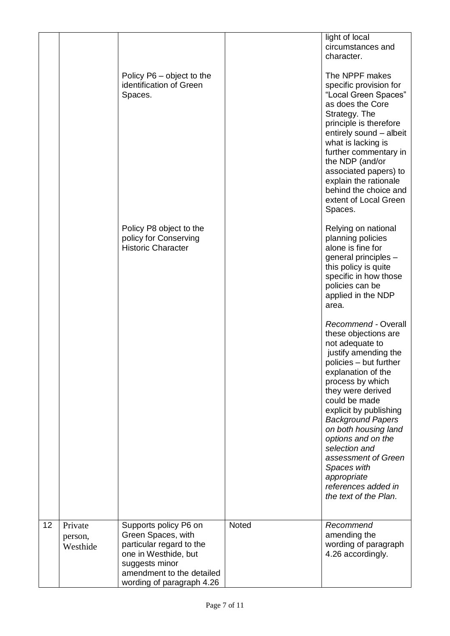|    |                    | Policy P6 – object to the<br>identification of Green<br>Spaces.<br>Policy P8 object to the<br>policy for Conserving<br><b>Historic Character</b> |       | light of local<br>circumstances and<br>character.<br>The NPPF makes<br>specific provision for<br>"Local Green Spaces"<br>as does the Core<br>Strategy. The<br>principle is therefore<br>entirely sound - albeit<br>what is lacking is<br>further commentary in<br>the NDP (and/or<br>associated papers) to<br>explain the rationale<br>behind the choice and<br>extent of Local Green<br>Spaces.<br>Relying on national<br>planning policies<br>alone is fine for                                                                                     |
|----|--------------------|--------------------------------------------------------------------------------------------------------------------------------------------------|-------|-------------------------------------------------------------------------------------------------------------------------------------------------------------------------------------------------------------------------------------------------------------------------------------------------------------------------------------------------------------------------------------------------------------------------------------------------------------------------------------------------------------------------------------------------------|
|    |                    |                                                                                                                                                  |       | general principles -<br>this policy is quite<br>specific in how those<br>policies can be<br>applied in the NDP<br>area.<br>Recommend - Overall<br>these objections are<br>not adequate to<br>justify amending the<br>policies - but further<br>explanation of the<br>process by which<br>they were derived<br>could be made<br>explicit by publishing<br><b>Background Papers</b><br>on both housing land<br>options and on the<br>selection and<br>assessment of Green<br>Spaces with<br>appropriate<br>references added in<br>the text of the Plan. |
| 12 | Private<br>person, | Supports policy P6 on<br>Green Spaces, with                                                                                                      | Noted | Recommend<br>amending the                                                                                                                                                                                                                                                                                                                                                                                                                                                                                                                             |
|    | Westhide           | particular regard to the<br>one in Westhide, but<br>suggests minor<br>amendment to the detailed<br>wording of paragraph 4.26                     |       | wording of paragraph<br>4.26 accordingly.                                                                                                                                                                                                                                                                                                                                                                                                                                                                                                             |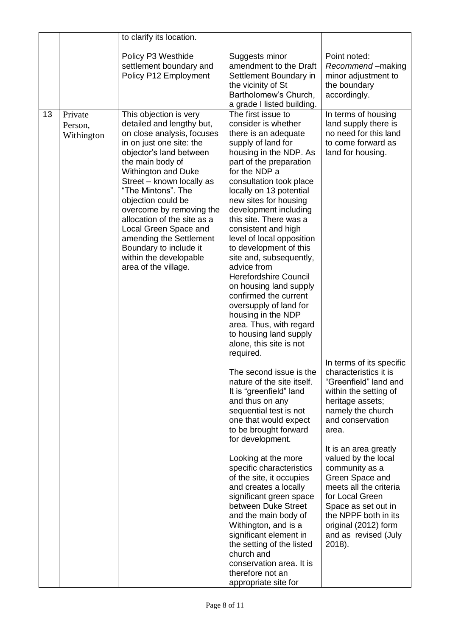|    |                                  | to clarify its location.                                                                                                                                                                                                                                                                                                                                                                                                                                |                                                                                                                                                                                                                                                                                                                                                                                                                                                                                                                                                                                                                                                                                                                                                                                                                                                                                                                                                                                                                                                                                                                                                                                                                       |                                                                                                                                                                                                                                                                                                                                                                                                                                                                                                                                         |
|----|----------------------------------|---------------------------------------------------------------------------------------------------------------------------------------------------------------------------------------------------------------------------------------------------------------------------------------------------------------------------------------------------------------------------------------------------------------------------------------------------------|-----------------------------------------------------------------------------------------------------------------------------------------------------------------------------------------------------------------------------------------------------------------------------------------------------------------------------------------------------------------------------------------------------------------------------------------------------------------------------------------------------------------------------------------------------------------------------------------------------------------------------------------------------------------------------------------------------------------------------------------------------------------------------------------------------------------------------------------------------------------------------------------------------------------------------------------------------------------------------------------------------------------------------------------------------------------------------------------------------------------------------------------------------------------------------------------------------------------------|-----------------------------------------------------------------------------------------------------------------------------------------------------------------------------------------------------------------------------------------------------------------------------------------------------------------------------------------------------------------------------------------------------------------------------------------------------------------------------------------------------------------------------------------|
|    |                                  | Policy P3 Westhide<br>settlement boundary and<br>Policy P12 Employment                                                                                                                                                                                                                                                                                                                                                                                  | Suggests minor<br>amendment to the Draft<br>Settlement Boundary in<br>the vicinity of St<br>Bartholomew's Church,<br>a grade I listed building.                                                                                                                                                                                                                                                                                                                                                                                                                                                                                                                                                                                                                                                                                                                                                                                                                                                                                                                                                                                                                                                                       | Point noted:<br>Recommend-making<br>minor adjustment to<br>the boundary<br>accordingly.                                                                                                                                                                                                                                                                                                                                                                                                                                                 |
| 13 | Private<br>Person,<br>Withington | This objection is very<br>detailed and lengthy but,<br>on close analysis, focuses<br>in on just one site: the<br>objector's land between<br>the main body of<br>Withington and Duke<br>Street - known locally as<br>"The Mintons". The<br>objection could be<br>overcome by removing the<br>allocation of the site as a<br>Local Green Space and<br>amending the Settlement<br>Boundary to include it<br>within the developable<br>area of the village. | The first issue to<br>consider is whether<br>there is an adequate<br>supply of land for<br>housing in the NDP. As<br>part of the preparation<br>for the NDP a<br>consultation took place<br>locally on 13 potential<br>new sites for housing<br>development including<br>this site. There was a<br>consistent and high<br>level of local opposition<br>to development of this<br>site and, subsequently,<br>advice from<br><b>Herefordshire Council</b><br>on housing land supply<br>confirmed the current<br>oversupply of land for<br>housing in the NDP<br>area. Thus, with regard<br>to housing land supply<br>alone, this site is not<br>required.<br>The second issue is the<br>nature of the site itself.<br>It is "greenfield" land<br>and thus on any<br>sequential test is not<br>one that would expect<br>to be brought forward<br>for development.<br>Looking at the more<br>specific characteristics<br>of the site, it occupies<br>and creates a locally<br>significant green space<br>between Duke Street<br>and the main body of<br>Withington, and is a<br>significant element in<br>the setting of the listed<br>church and<br>conservation area. It is<br>therefore not an<br>appropriate site for | In terms of housing<br>land supply there is<br>no need for this land<br>to come forward as<br>land for housing.<br>In terms of its specific<br>characteristics it is<br>"Greenfield" land and<br>within the setting of<br>heritage assets;<br>namely the church<br>and conservation<br>area.<br>It is an area greatly<br>valued by the local<br>community as a<br>Green Space and<br>meets all the criteria<br>for Local Green<br>Space as set out in<br>the NPPF both in its<br>original (2012) form<br>and as revised (July<br>2018). |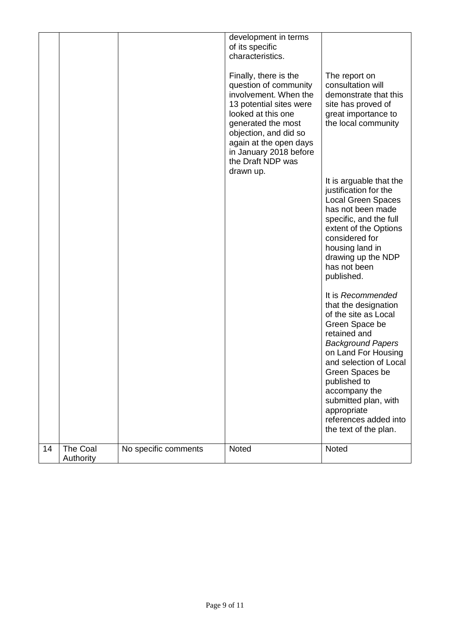|    |                       |                      | development in terms<br>of its specific<br>characteristics.                                                                                                                                                                                                   |                                                                                                                                                                                                                                                                                                                               |
|----|-----------------------|----------------------|---------------------------------------------------------------------------------------------------------------------------------------------------------------------------------------------------------------------------------------------------------------|-------------------------------------------------------------------------------------------------------------------------------------------------------------------------------------------------------------------------------------------------------------------------------------------------------------------------------|
|    |                       |                      | Finally, there is the<br>question of community<br>involvement. When the<br>13 potential sites were<br>looked at this one<br>generated the most<br>objection, and did so<br>again at the open days<br>in January 2018 before<br>the Draft NDP was<br>drawn up. | The report on<br>consultation will<br>demonstrate that this<br>site has proved of<br>great importance to<br>the local community                                                                                                                                                                                               |
|    |                       |                      |                                                                                                                                                                                                                                                               | It is arguable that the<br>justification for the<br><b>Local Green Spaces</b><br>has not been made<br>specific, and the full<br>extent of the Options<br>considered for<br>housing land in<br>drawing up the NDP<br>has not been<br>published.                                                                                |
|    |                       |                      |                                                                                                                                                                                                                                                               | It is Recommended<br>that the designation<br>of the site as Local<br>Green Space be<br>retained and<br><b>Background Papers</b><br>on Land For Housing<br>and selection of Local<br>Green Spaces be<br>published to<br>accompany the<br>submitted plan, with<br>appropriate<br>references added into<br>the text of the plan. |
| 14 | The Coal<br>Authority | No specific comments | Noted                                                                                                                                                                                                                                                         | Noted                                                                                                                                                                                                                                                                                                                         |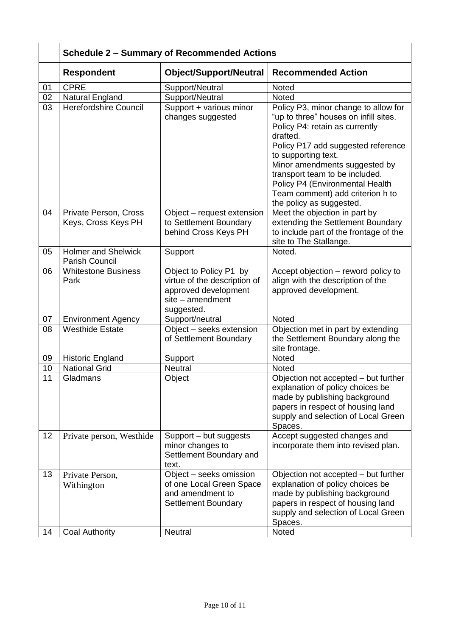|          | <b>Schedule 2 - Summary of Recommended Actions</b>     |                                                                                                                  |                                                                                                                                                                                                                                                                                                                                                                |  |
|----------|--------------------------------------------------------|------------------------------------------------------------------------------------------------------------------|----------------------------------------------------------------------------------------------------------------------------------------------------------------------------------------------------------------------------------------------------------------------------------------------------------------------------------------------------------------|--|
|          | <b>Respondent</b>                                      | <b>Object/Support/Neutral</b>                                                                                    | <b>Recommended Action</b>                                                                                                                                                                                                                                                                                                                                      |  |
| 01       | <b>CPRE</b>                                            | Support/Neutral                                                                                                  | Noted                                                                                                                                                                                                                                                                                                                                                          |  |
| 02       | <b>Natural England</b>                                 | Support/Neutral                                                                                                  | <b>Noted</b>                                                                                                                                                                                                                                                                                                                                                   |  |
| 03       | <b>Herefordshire Council</b>                           | Support + various minor<br>changes suggested                                                                     | Policy P3, minor change to allow for<br>"up to three" houses on infill sites.<br>Policy P4: retain as currently<br>drafted.<br>Policy P17 add suggested reference<br>to supporting text.<br>Minor amendments suggested by<br>transport team to be included.<br>Policy P4 (Environmental Health<br>Team comment) add criterion h to<br>the policy as suggested. |  |
| 04       | Private Person, Cross<br>Keys, Cross Keys PH           | Object – request extension<br>to Settlement Boundary<br>behind Cross Keys PH                                     | Meet the objection in part by<br>extending the Settlement Boundary<br>to include part of the frontage of the<br>site to The Stallange.                                                                                                                                                                                                                         |  |
| 05       | <b>Holmer and Shelwick</b><br>Parish Council           | Support                                                                                                          | Noted.                                                                                                                                                                                                                                                                                                                                                         |  |
| 06       | <b>Whitestone Business</b><br>Park                     | Object to Policy P1 by<br>virtue of the description of<br>approved development<br>site - amendment<br>suggested. | Accept objection - reword policy to<br>align with the description of the<br>approved development.                                                                                                                                                                                                                                                              |  |
| 07       | <b>Environment Agency</b>                              | Support/neutral                                                                                                  | Noted                                                                                                                                                                                                                                                                                                                                                          |  |
| 08       | <b>Westhide Estate</b>                                 | Object - seeks extension<br>of Settlement Boundary                                                               | Objection met in part by extending<br>the Settlement Boundary along the<br>site frontage.                                                                                                                                                                                                                                                                      |  |
| 09       | <b>Historic England</b>                                | Support                                                                                                          | Noted                                                                                                                                                                                                                                                                                                                                                          |  |
| 10       | <b>National Grid</b>                                   | <b>Neutral</b>                                                                                                   | Noted                                                                                                                                                                                                                                                                                                                                                          |  |
| 11       | Gladmans                                               | Object                                                                                                           | Objection not accepted - but further<br>explanation of policy choices be<br>made by publishing background<br>papers in respect of housing land<br>supply and selection of Local Green<br>Spaces.                                                                                                                                                               |  |
| 12       | Private person, Westhide                               | Support - but suggests<br>minor changes to<br>Settlement Boundary and<br>text.                                   | Accept suggested changes and<br>incorporate them into revised plan.                                                                                                                                                                                                                                                                                            |  |
| 13<br>14 | Private Person,<br>Withington<br><b>Coal Authority</b> | Object - seeks omission<br>of one Local Green Space<br>and amendment to<br><b>Settlement Boundary</b><br>Neutral | Objection not accepted - but further<br>explanation of policy choices be<br>made by publishing background<br>papers in respect of housing land<br>supply and selection of Local Green<br>Spaces.<br>Noted                                                                                                                                                      |  |
|          |                                                        |                                                                                                                  |                                                                                                                                                                                                                                                                                                                                                                |  |